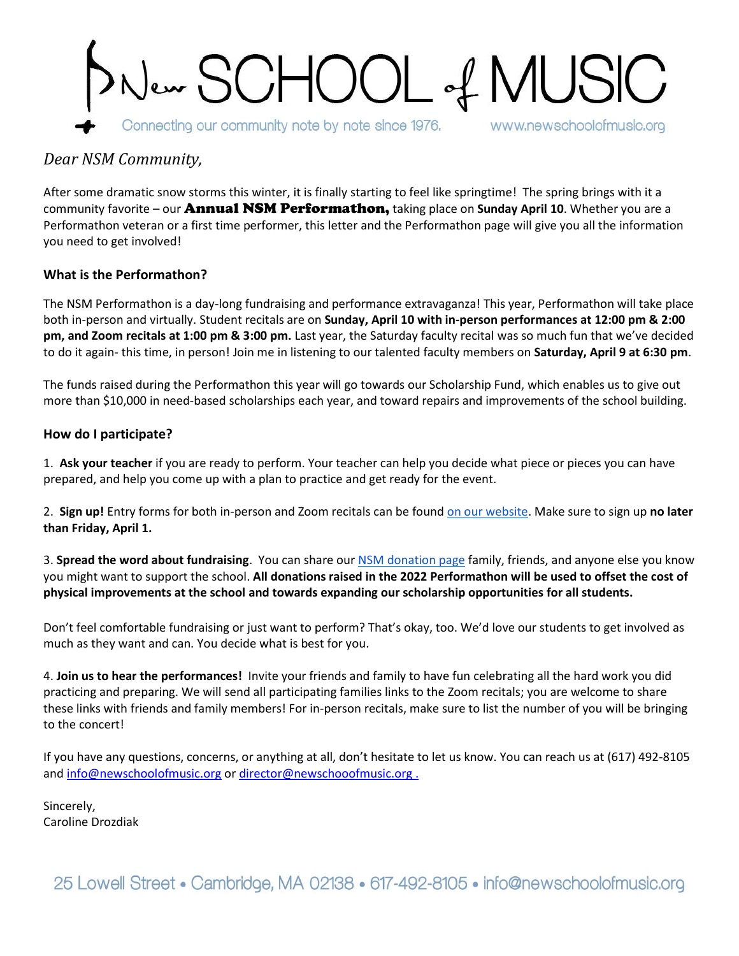

## *Dear NSM Community,*

After some dramatic snow storms this winter, it is finally starting to feel like springtime! The spring brings with it a community favorite – our Annual NSM Performathon, taking place on **Sunday April 10**. Whether you are a Performathon veteran or a first time performer, this letter and the Performathon page will give you all the information you need to get involved!

## **What is the Performathon?**

The NSM Performathon is a day-long fundraising and performance extravaganza! This year, Performathon will take place both in-person and virtually. Student recitals are on **Sunday, April 10 with in-person performances at 12:00 pm & 2:00 pm, and Zoom recitals at 1:00 pm & 3:00 pm.** Last year, the Saturday faculty recital was so much fun that we've decided to do it again- this time, in person! Join me in listening to our talented faculty members on **Saturday, April 9 at 6:30 pm**.

The funds raised during the Performathon this year will go towards our Scholarship Fund, which enables us to give out more than \$10,000 in need-based scholarships each year, and toward repairs and improvements of the school building.

## **How do I participate?**

1. **Ask your teacher** if you are ready to perform. Your teacher can help you decide what piece or pieces you can have prepared, and help you come up with a plan to practice and get ready for the event.

2. **Sign up!** Entry forms for both in-person and Zoom recitals can be foun[d on our website.](http://newschoolofmusic.org/events-performance/performathon-2022/) Make sure to sign up **no later than Friday, April 1.**

3. **Spread the word about fundraising**. You can share our NSM [donation page](https://secure.givelively.org/donate/new-school-of-music-inc/performathon-2022) family, friends, and anyone else you know you might want to support the school. **All donations raised in the 2022 Performathon will be used to offset the cost of physical improvements at the school and towards expanding our scholarship opportunities for all students.** 

Don't feel comfortable fundraising or just want to perform? That's okay, too. We'd love our students to get involved as much as they want and can. You decide what is best for you.

4. **Join us to hear the performances!** Invite your friends and family to have fun celebrating all the hard work you did practicing and preparing. We will send all participating families links to the Zoom recitals; you are welcome to share these links with friends and family members! For in-person recitals, make sure to list the number of you will be bringing to the concert!

If you have any questions, concerns, or anything at all, don't hesitate to let us know. You can reach us at (617) 492-8105 and [info@newschoolofmusic.org](mailto:info@newschoolofmusic.org) or [director@newschooofmusic.org](mailto:director@newschooofmusic.org).

Sincerely, Caroline Drozdiak

25 Lowell Street • Cambridge, MA 02138 • 617-492-8105 • info@newschoolofmusic.org